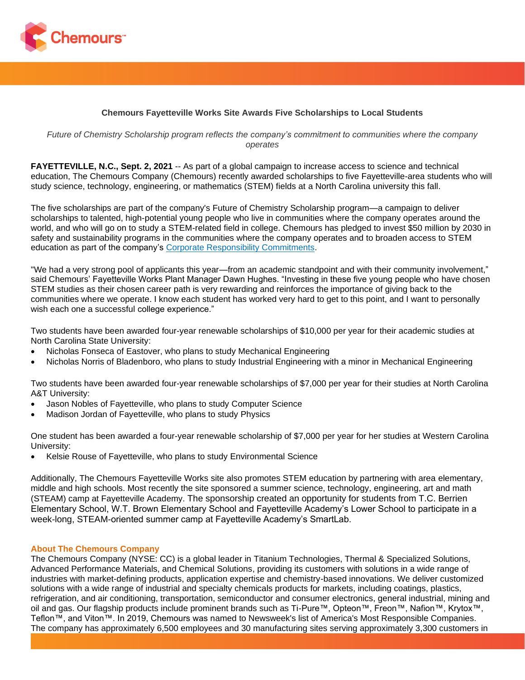

## **Chemours Fayetteville Works Site Awards Five Scholarships to Local Students**

*Future of Chemistry Scholarship program reflects the company's commitment to communities where the company operates*

**FAYETTEVILLE, N.C., Sept. 2, 2021** -- As part of a global campaign to increase access to science and technical education, The Chemours Company (Chemours) recently awarded scholarships to five Fayetteville-area students who will study science, technology, engineering, or mathematics (STEM) fields at a North Carolina university this fall.

The five scholarships are part of the company's Future of Chemistry Scholarship program—a campaign to deliver scholarships to talented, high-potential young people who live in communities where the company operates around the world, and who will go on to study a STEM-related field in college. Chemours has pledged to invest \$50 million by 2030 in safety and sustainability programs in the communities where the company operates and to broaden access to STEM education as part of the company's [Corporate Responsibility Commitments.](https://www.chemours.com/en/corporate-responsibility)

"We had a very strong pool of applicants this year—from an academic standpoint and with their community involvement," said Chemours' Fayetteville Works Plant Manager Dawn Hughes. "Investing in these five young people who have chosen STEM studies as their chosen career path is very rewarding and reinforces the importance of giving back to the communities where we operate. I know each student has worked very hard to get to this point, and I want to personally wish each one a successful college experience."

Two students have been awarded four-year renewable scholarships of \$10,000 per year for their academic studies at North Carolina State University:

- Nicholas Fonseca of Eastover, who plans to study Mechanical Engineering
- Nicholas Norris of Bladenboro, who plans to study Industrial Engineering with a minor in Mechanical Engineering

Two students have been awarded four-year renewable scholarships of \$7,000 per year for their studies at North Carolina A&T University:

- Jason Nobles of Fayetteville, who plans to study Computer Science
- Madison Jordan of Fayetteville, who plans to study Physics

One student has been awarded a four-year renewable scholarship of \$7,000 per year for her studies at Western Carolina University:

• Kelsie Rouse of Fayetteville, who plans to study Environmental Science

Additionally, The Chemours Fayetteville Works site also promotes STEM education by partnering with area elementary, middle and high schools. Most recently the site sponsored a summer science, technology, engineering, art and math (STEAM) camp at Fayetteville Academy. The sponsorship created an opportunity for students from T.C. Berrien Elementary School, W.T. Brown Elementary School and Fayetteville Academy's Lower School to participate in a week-long, STEAM-oriented summer camp at Fayetteville Academy's SmartLab.

## **About The Chemours Company**

The Chemours Company (NYSE: CC) is a global leader in Titanium Technologies, Thermal & Specialized Solutions, Advanced Performance Materials, and Chemical Solutions, providing its customers with solutions in a wide range of industries with market-defining products, application expertise and chemistry-based innovations. We deliver customized solutions with a wide range of industrial and specialty chemicals products for markets, including coatings, plastics, refrigeration, and air conditioning, transportation, semiconductor and consumer electronics, general industrial, mining and oil and gas. Our flagship products include prominent brands such as Ti-Pure™, Opteon™, Freon™, Nafion™, Krytox™, Teflon™, and Viton™. In 2019, Chemours was named to Newsweek's list of America's Most Responsible Companies. The company has approximately 6,500 employees and 30 manufacturing sites serving approximately 3,300 customers in